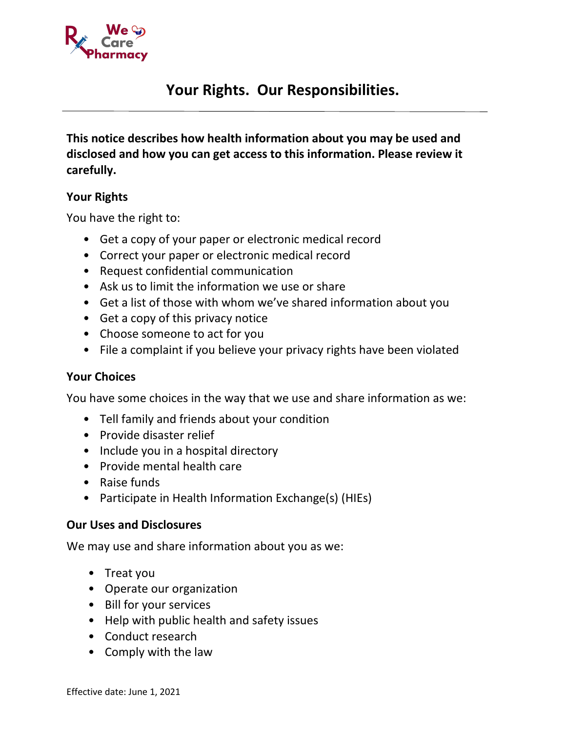

# **Your Rights. Our Responsibilities.**

**This notice describes how health information about you may be used and disclosed and how you can get access to this information. Please review it carefully.**

#### **Your Rights**

You have the right to:

- Get a copy of your paper or electronic medical record
- Correct your paper or electronic medical record
- Request confidential communication
- Ask us to limit the information we use or share
- Get a list of those with whom we've shared information about you
- Get a copy of this privacy notice
- Choose someone to act for you
- File a complaint if you believe your privacy rights have been violated

### **Your Choices**

You have some choices in the way that we use and share information as we:

- Tell family and friends about your condition
- Provide disaster relief
- Include you in a hospital directory
- Provide mental health care
- Raise funds
- Participate in Health Information Exchange(s) (HIEs)

### **Our Uses and Disclosures**

We may use and share information about you as we:

- Treat you
- Operate our organization
- Bill for your services
- Help with public health and safety issues
- Conduct research
- Comply with the law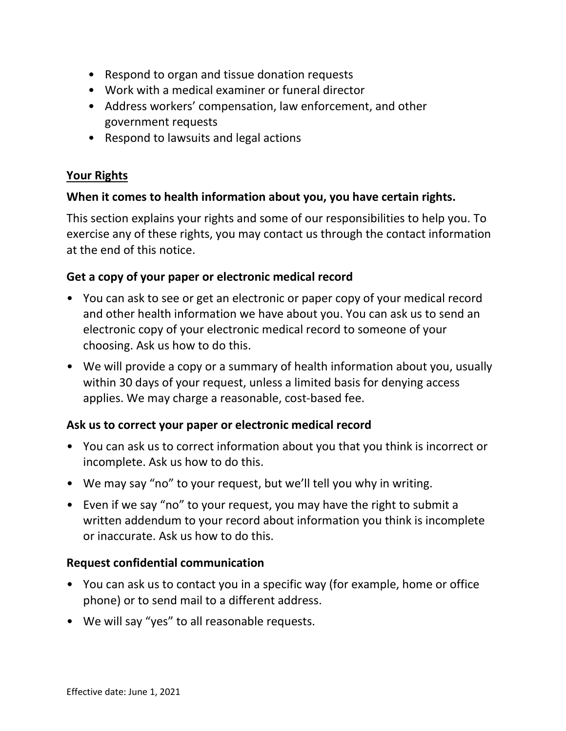- Respond to organ and tissue donation requests
- Work with a medical examiner or funeral director
- Address workers' compensation, law enforcement, and other government requests
- Respond to lawsuits and legal actions

### **Your Rights**

### **When it comes to health information about you, you have certain rights.**

This section explains your rights and some of our responsibilities to help you. To exercise any of these rights, you may contact us through the contact information at the end of this notice.

### **Get a copy of your paper or electronic medical record**

- You can ask to see or get an electronic or paper copy of your medical record and other health information we have about you. You can ask us to send an electronic copy of your electronic medical record to someone of your choosing. Ask us how to do this.
- We will provide a copy or a summary of health information about you, usually within 30 days of your request, unless a limited basis for denying access applies. We may charge a reasonable, cost-based fee.

# **Ask us to correct your paper or electronic medical record**

- You can ask us to correct information about you that you think is incorrect or incomplete. Ask us how to do this.
- We may say "no" to your request, but we'll tell you why in writing.
- Even if we say "no" to your request, you may have the right to submit a written addendum to your record about information you think is incomplete or inaccurate. Ask us how to do this.

### **Request confidential communication**

- You can ask us to contact you in a specific way (for example, home or office phone) or to send mail to a different address.
- We will say "yes" to all reasonable requests.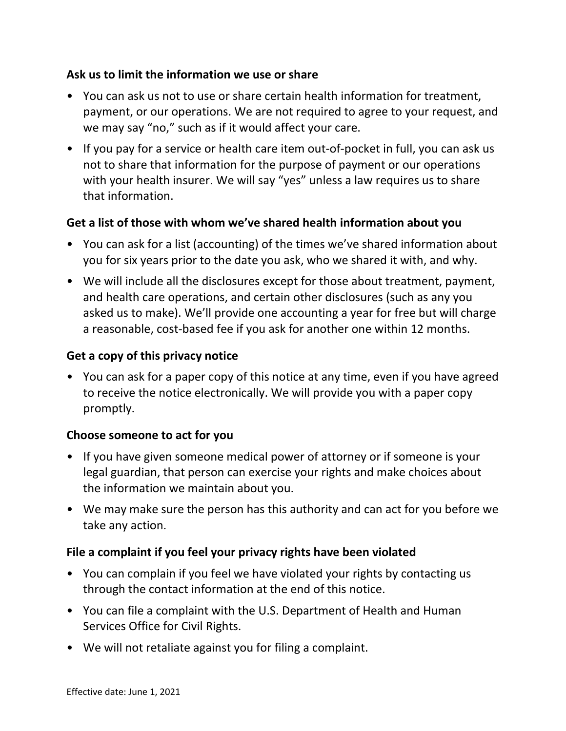### **Ask us to limit the information we use or share**

- You can ask us not to use or share certain health information for treatment, payment, or our operations. We are not required to agree to your request, and we may say "no," such as if it would affect your care.
- If you pay for a service or health care item out-of-pocket in full, you can ask us not to share that information for the purpose of payment or our operations with your health insurer. We will say "yes" unless a law requires us to share that information.

# **Get a list of those with whom we've shared health information about you**

- You can ask for a list (accounting) of the times we've shared information about you for six years prior to the date you ask, who we shared it with, and why.
- We will include all the disclosures except for those about treatment, payment, and health care operations, and certain other disclosures (such as any you asked us to make). We'll provide one accounting a year for free but will charge a reasonable, cost-based fee if you ask for another one within 12 months.

# **Get a copy of this privacy notice**

• You can ask for a paper copy of this notice at any time, even if you have agreed to receive the notice electronically. We will provide you with a paper copy promptly.

### **Choose someone to act for you**

- If you have given someone medical power of attorney or if someone is your legal guardian, that person can exercise your rights and make choices about the information we maintain about you.
- We may make sure the person has this authority and can act for you before we take any action.

### **File a complaint if you feel your privacy rights have been violated**

- You can complain if you feel we have violated your rights by contacting us through the contact information at the end of this notice.
- You can file a complaint with the U.S. Department of Health and Human Services Office for Civil Rights.
- We will not retaliate against you for filing a complaint.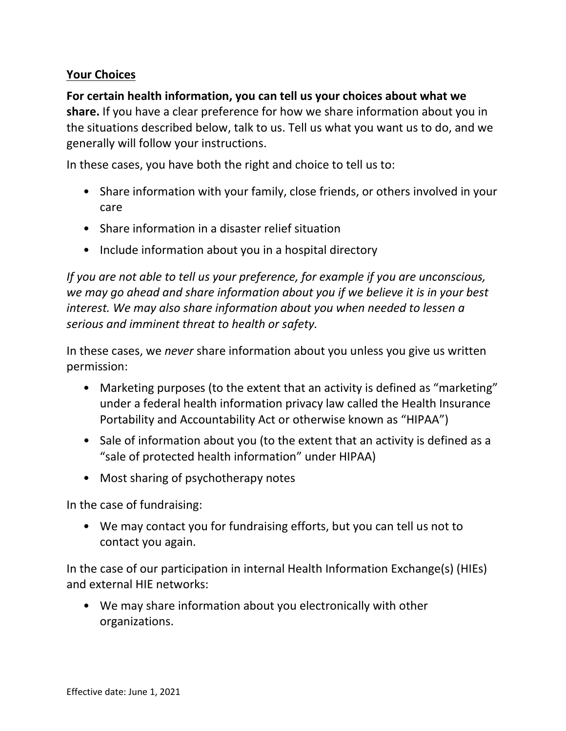# **Your Choices**

**For certain health information, you can tell us your choices about what we share.** If you have a clear preference for how we share information about you in the situations described below, talk to us. Tell us what you want us to do, and we generally will follow your instructions.

In these cases, you have both the right and choice to tell us to:

- Share information with your family, close friends, or others involved in your care
- Share information in a disaster relief situation
- Include information about you in a hospital directory

*If you are not able to tell us your preference, for example if you are unconscious, we may go ahead and share information about you if we believe it is in your best interest. We may also share information about you when needed to lessen a serious and imminent threat to health or safety.*

In these cases, we *never* share information about you unless you give us written permission:

- Marketing purposes (to the extent that an activity is defined as "marketing" under a federal health information privacy law called the Health Insurance Portability and Accountability Act or otherwise known as "HIPAA")
- Sale of information about you (to the extent that an activity is defined as a "sale of protected health information" under HIPAA)
- Most sharing of psychotherapy notes

In the case of fundraising:

• We may contact you for fundraising efforts, but you can tell us not to contact you again.

In the case of our participation in internal Health Information Exchange(s) (HIEs) and external HIE networks:

• We may share information about you electronically with other organizations.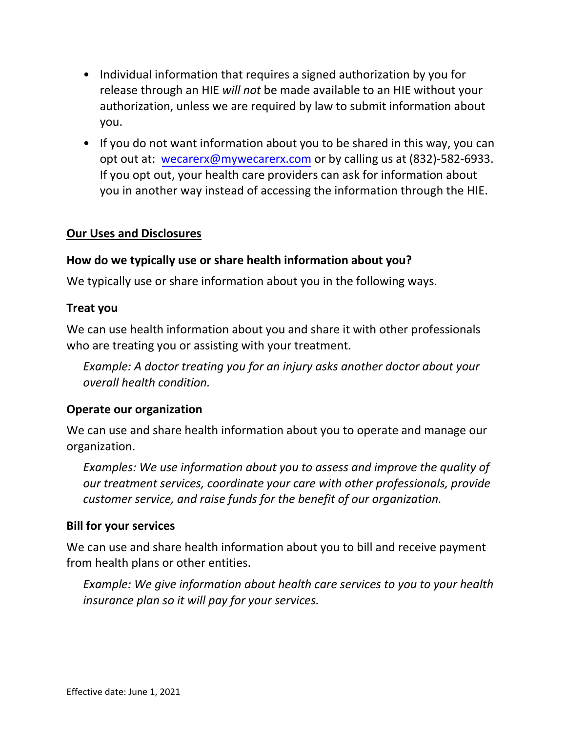- Individual information that requires a signed authorization by you for release through an HIE *will not* be made available to an HIE without your authorization, unless we are required by law to submit information about you.
- If you do not want information about you to be shared in this way, you can opt out at: [wecarerx@mywecarerx.com](https://www.provshare.org/health-information-exchange/for-patients/) or by calling us at (832)-582-6933. [If you opt](https://www.provshare.org/health-information-exchange/for-patients/) out, your health care providers can ask for information about you in another way instead of accessing the information through the HIE.

#### **Our Uses and Disclosures**

#### **How do we typically use or share health information about you?**

We typically use or share information about you in the following ways.

#### **Treat you**

We can use health information about you and share it with other professionals who are treating you or assisting with your treatment.

*Example: A doctor treating you for an injury asks another doctor about your overall health condition.*

#### **Operate our organization**

We can use and share health information about you to operate and manage our organization.

*Examples: We use information about you to assess and improve the quality of our treatment services, coordinate your care with other professionals, provide customer service, and raise funds for the benefit of our organization.* 

#### **Bill for your services**

We can use and share health information about you to bill and receive payment from health plans or other entities.

*Example: We give information about health care services to you to your health insurance plan so it will pay for your services.*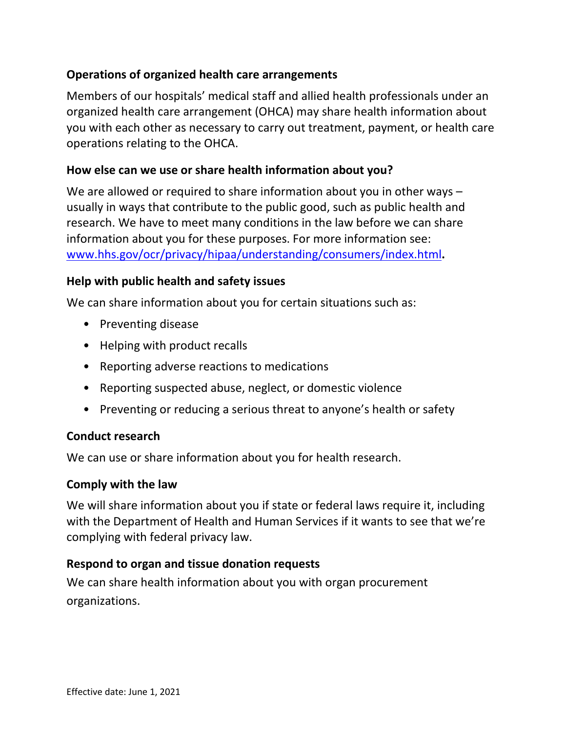# **Operations of organized health care arrangements**

Members of our hospitals' medical staff and allied health professionals under an organized health care arrangement (OHCA) may share health information about you with each other as necessary to carry out treatment, payment, or health care operations relating to the OHCA.

#### **How else can we use or share health information about you?**

We are allowed or required to share information about you in other ways – usually in ways that contribute to the public good, such as public health and research. We have to meet many conditions in the law before we can share information about you for these purposes. For more information see: [www.hhs.gov/ocr/privacy/hipaa/understanding/consumers/index.html](http://www.hhs.gov/ocr/privacy/hipaa/understanding/consumers/index.html)**.** 

#### **Help with public health and safety issues**

We can share information about you for certain situations such as:

- Preventing disease
- Helping with product recalls
- Reporting adverse reactions to medications
- Reporting suspected abuse, neglect, or domestic violence
- Preventing or reducing a serious threat to anyone's health or safety

### **Conduct research**

We can use or share information about you for health research.

#### **Comply with the law**

We will share information about you if state or federal laws require it, including with the Department of Health and Human Services if it wants to see that we're complying with federal privacy law.

### **Respond to organ and tissue donation requests**

We can share health information about you with organ procurement organizations.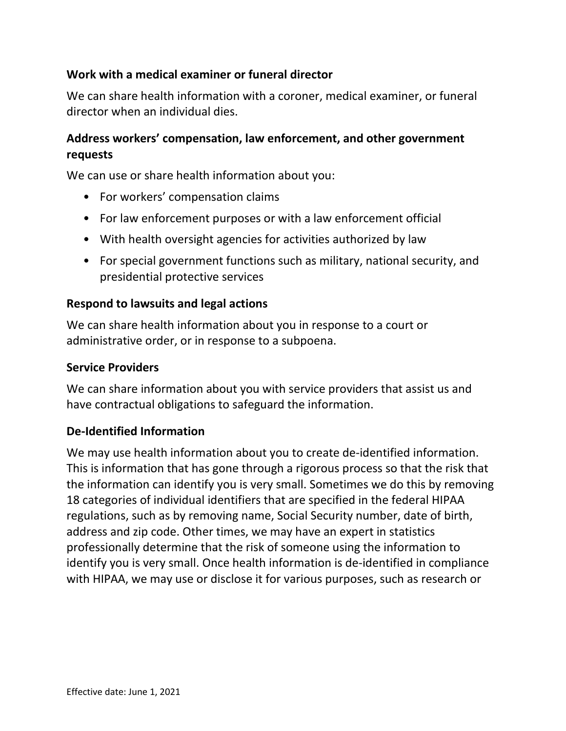# **Work with a medical examiner or funeral director**

We can share health information with a coroner, medical examiner, or funeral director when an individual dies.

# **Address workers' compensation, law enforcement, and other government requests**

We can use or share health information about you:

- For workers' compensation claims
- For law enforcement purposes or with a law enforcement official
- With health oversight agencies for activities authorized by law
- For special government functions such as military, national security, and presidential protective services

#### **Respond to lawsuits and legal actions**

We can share health information about you in response to a court or administrative order, or in response to a subpoena.

#### **Service Providers**

We can share information about you with service providers that assist us and have contractual obligations to safeguard the information.

#### **De-Identified Information**

We may use health information about you to create de-identified information. This is information that has gone through a rigorous process so that the risk that the information can identify you is very small. Sometimes we do this by removing 18 categories of individual identifiers that are specified in the federal HIPAA regulations, such as by removing name, Social Security number, date of birth, address and zip code. Other times, we may have an expert in statistics professionally determine that the risk of someone using the information to identify you is very small. Once health information is de-identified in compliance with HIPAA, we may use or disclose it for various purposes, such as research or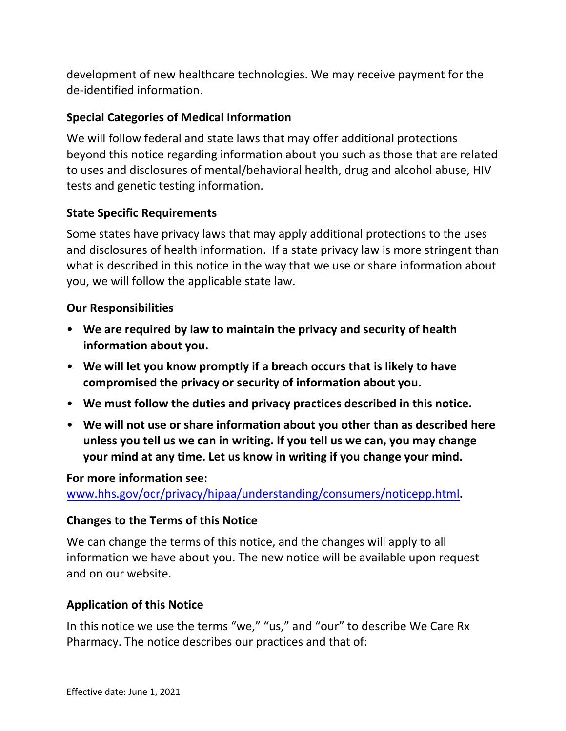development of new healthcare technologies. We may receive payment for the de-identified information.

### **Special Categories of Medical Information**

We will follow federal and state laws that may offer additional protections beyond this notice regarding information about you such as those that are related to uses and disclosures of mental/behavioral health, drug and alcohol abuse, HIV tests and genetic testing information.

### **State Specific Requirements**

Some states have privacy laws that may apply additional protections to the uses and disclosures of health information. If a state privacy law is more stringent than what is described in this notice in the way that we use or share information about you, we will follow the applicable state law.

#### **Our Responsibilities**

- **We are required by law to maintain the privacy and security of health information about you.**
- **We will let you know promptly if a breach occurs that is likely to have compromised the privacy or security of information about you.**
- **We must follow the duties and privacy practices described in this notice.**
- **We will not use or share information about you other than as described here unless you tell us we can in writing. If you tell us we can, you may change your mind at any time. Let us know in writing if you change your mind.**

#### **For more information see:**

[www.hhs.gov/ocr/privacy/hipaa/understanding/consumers/noticepp.html](http://www.hhs.gov/ocr/privacy/hipaa/understanding/consumers/noticepp.html)**.** 

#### **Changes to the Terms of this Notice**

We can change the terms of this notice, and the changes will apply to all information we have about you. The new notice will be available upon request and on our website.

### **Application of this Notice**

In this notice we use the terms "we," "us," and "our" to describe We Care Rx Pharmacy. The notice describes our practices and that of: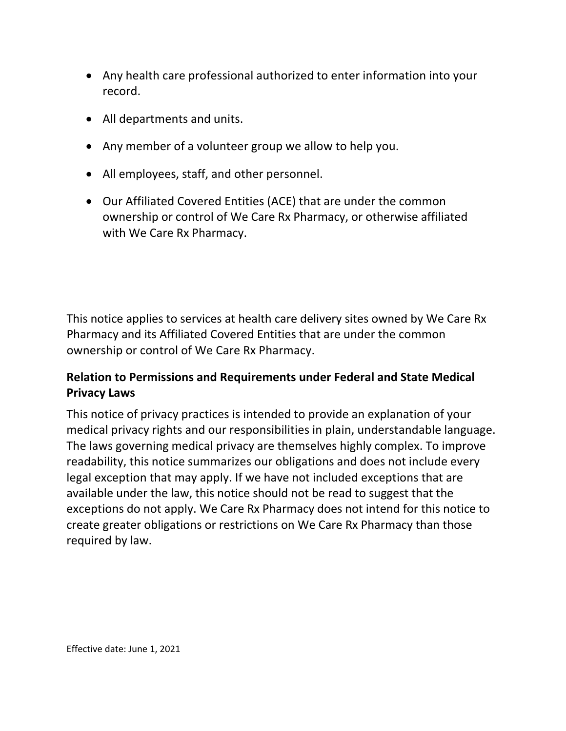- Any health care professional authorized to enter information into your record.
- All departments and units.
- Any member of a volunteer group we allow to help you.
- All employees, staff, and other personnel.
- Our Affiliated Covered Entities (ACE) that are under the common ownership or control of We Care Rx Pharmacy, or otherwise affiliated with We Care Rx Pharmacy.

This notice applies to services at health care delivery sites owned by We Care Rx Pharmacy and its Affiliated Covered Entities that are under the common ownership or control of We Care Rx Pharmacy.

# **Relation to Permissions and Requirements under Federal and State Medical Privacy Laws**

This notice of p[rivacy practices is intended to p](https://www.providence.org/)rovide an explanation of your medical privacy rights and our responsibilities in plain, understandable language. The laws governing medical privacy are themselves highly complex. To improve readability, this notice summarizes our obligations and does not include every legal exception that may apply. If we have not included exceptions that are available under the law, this notice should not be read to suggest that the exceptions do not apply. We Care Rx Pharmacy does not intend for this notice to create greater obligations or restrictions on We Care Rx Pharmacy than those required by law.